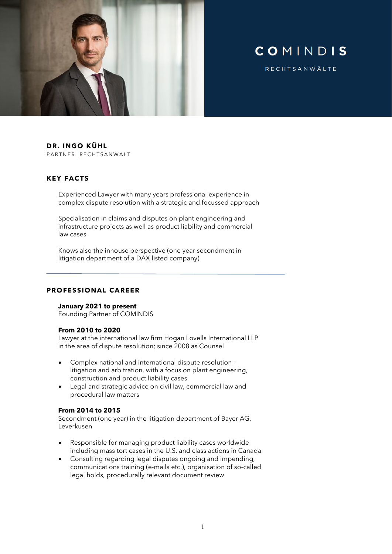

# COMINDIS

RECHTSANWÄLTE

#### **DR. INGO KÜHL** PARTNER | RECHTSANWALT

# **KEY FACTS**

Experienced Lawyer with many years professional experience in complex dispute resolution with a strategic and focussed approach

Specialisation in claims and disputes on plant engineering and infrastructure projects as well as product liability and commercial law cases

Knows also the inhouse perspective (one year secondment in litigation department of a DAX listed company)

# **PROFESSIONAL CAREER**

# **January 2021 to present**

Founding Partner of COMINDIS

# **From 2010 to 2020**

Lawyer at the international law firm Hogan Lovells International LLP in the area of dispute resolution; since 2008 as Counsel

- Complex national and international dispute resolution litigation and arbitration, with a focus on plant engineering, construction and product liability cases
- Legal and strategic advice on civil law, commercial law and procedural law matters

# **From 2014 to 2015**

Secondment (one year) in the litigation department of Bayer AG, Leverkusen

- Responsible for managing product liability cases worldwide including mass tort cases in the U.S. and class actions in Canada
- Consulting regarding legal disputes ongoing and impending, communications training (e-mails etc.), organisation of so-called legal holds, procedurally relevant document review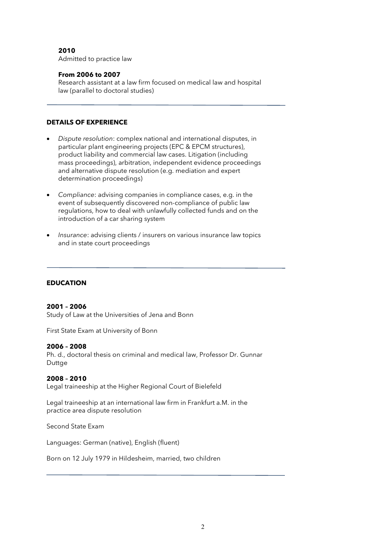# **2010**

Admitted to practice law

# **From 2006 to 2007**

Research assistant at a law firm focused on medical law and hospital law (parallel to doctoral studies)

# **DETAILS OF EXPERIENCE**

- *Dispute resolution*: complex national and international disputes, in particular plant engineering projects (EPC & EPCM structures), product liability and commercial law cases. Litigation (including mass proceedings), arbitration, independent evidence proceedings and alternative dispute resolution (e.g. mediation and expert determination proceedings)
- *Compliance*: advising companies in compliance cases, e.g. in the event of subsequently discovered non-compliance of public law regulations, how to deal with unlawfully collected funds and on the introduction of a car sharing system
- *Insurance*: advising clients / insurers on various insurance law topics and in state court proceedings

# **EDUCATION**

# **2001 – 2006**

Study of Law at the Universities of Jena and Bonn

First State Exam at University of Bonn

# **2006 – 2008**

Ph. d., doctoral thesis on criminal and medical law, Professor Dr. Gunnar Duttge

# **2008 – 2010**

Legal traineeship at the Higher Regional Court of Bielefeld

Legal traineeship at an international law firm in Frankfurt a.M. in the practice area dispute resolution

Second State Exam

Languages: German (native), English (fluent)

Born on 12 July 1979 in Hildesheim, married, two children